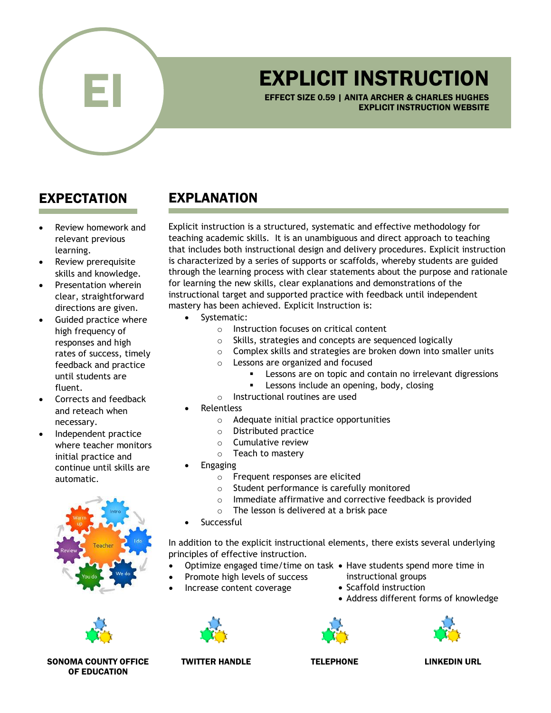

## EXPLICIT INSTRUCTION

EFFECT SIZE 0.59 | ANITA ARCHER & CHARLES HUGHES EXPLICIT INSTRUCTION WEBSITE

## EXPECTATION

- Review homework and relevant previous learning.
- Review prerequisite skills and knowledge.
- Presentation wherein clear, straightforward directions are given.
- Guided practice where high frequency of responses and high rates of success, timely feedback and practice until students are fluent.
- Corrects and feedback and reteach when necessary.
- Independent practice where teacher monitors initial practice and continue until skills are automatic.





SONOMA COUNTY OFFICE OF EDUCATION

## EXPLANATION

Explicit instruction is a structured, systematic and effective methodology for teaching academic skills. It is an unambiguous and direct approach to teaching that includes both instructional design and delivery procedures. Explicit instruction is characterized by a series of supports or scaffolds, whereby students are guided through the learning process with clear statements about the purpose and rationale for learning the new skills, clear explanations and demonstrations of the instructional target and supported practice with feedback until independent mastery has been achieved. Explicit Instruction is:

- Systematic:
	- o Instruction focuses on critical content
	- o Skills, strategies and concepts are sequenced logically
	- o Complex skills and strategies are broken down into smaller units
	- o Lessons are organized and focused
		- Lessons are on topic and contain no irrelevant digressions
		- **EXEC** Lessons include an opening, body, closing
	- o Instructional routines are used
- **Relentless** 
	- o Adequate initial practice opportunities
	- o Distributed practice
	- o Cumulative review
	- o Teach to mastery
- **Engaging** 
	- o Frequent responses are elicited
	- o Student performance is carefully monitored
	- o Immediate affirmative and corrective feedback is provided
	- o The lesson is delivered at a brisk pace
- **Successful**

• Increase content coverage

In addition to the explicit instructional elements, there exists several underlying principles of effective instruction.

- Optimize engaged time/time on task Have students spend more time in
	- instructional groups
	- Promote high levels of success
		- Scaffold instruction
			- Address different forms of knowledge





TWITTER HANDLE TELEPHONE LINKEDIN URL